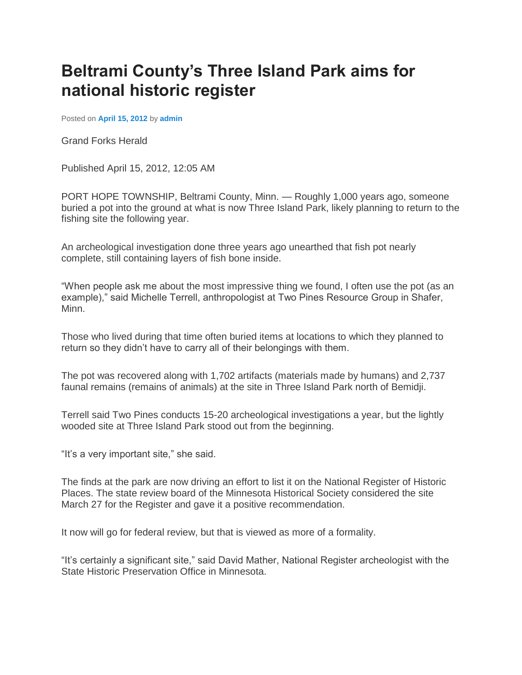## **Beltrami County's Three Island Park aims for national historic register**

Posted on **[April 15, 2012](http://www.demandmenothing.com/2012/04/15/beltrami-countys-three-island-park-aims-for-national-historic-register/)** by **[admin](http://www.demandmenothing.com/author/admin/)**

Grand Forks Herald

Published April 15, 2012, 12:05 AM

PORT HOPE TOWNSHIP, Beltrami County, Minn. — Roughly 1,000 years ago, someone buried a pot into the ground at what is now Three Island Park, likely planning to return to the fishing site the following year.

An archeological investigation done three years ago unearthed that fish pot nearly complete, still containing layers of fish bone inside.

"When people ask me about the most impressive thing we found, I often use the pot (as an example)," said Michelle Terrell, anthropologist at Two Pines Resource Group in Shafer, Minn.

Those who lived during that time often buried items at locations to which they planned to return so they didn't have to carry all of their belongings with them.

The pot was recovered along with 1,702 artifacts (materials made by humans) and 2,737 faunal remains (remains of animals) at the site in Three Island Park north of Bemidji.

Terrell said Two Pines conducts 15-20 archeological investigations a year, but the lightly wooded site at Three Island Park stood out from the beginning.

"It's a very important site," she said.

The finds at the park are now driving an effort to list it on the National Register of Historic Places. The state review board of the Minnesota Historical Society considered the site March 27 for the Register and gave it a positive recommendation.

It now will go for federal review, but that is viewed as more of a formality.

"It's certainly a significant site," said David Mather, National Register archeologist with the State Historic Preservation Office in Minnesota.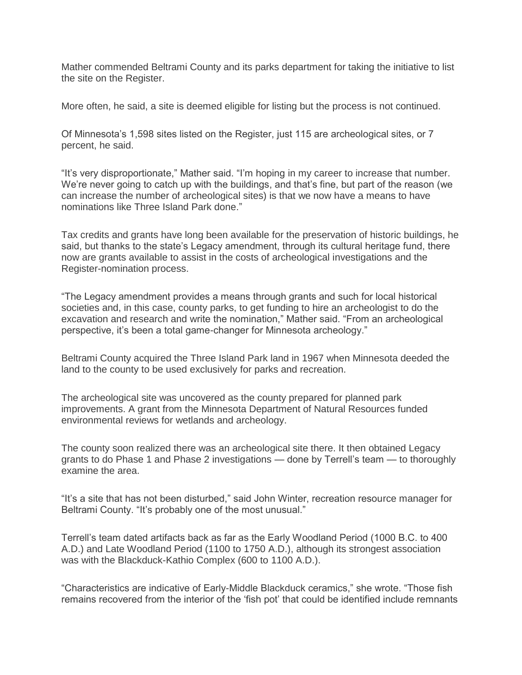Mather commended Beltrami County and its parks department for taking the initiative to list the site on the Register.

More often, he said, a site is deemed eligible for listing but the process is not continued.

Of Minnesota's 1,598 sites listed on the Register, just 115 are archeological sites, or 7 percent, he said.

"It's very disproportionate," Mather said. "I'm hoping in my career to increase that number. We're never going to catch up with the buildings, and that's fine, but part of the reason (we can increase the number of archeological sites) is that we now have a means to have nominations like Three Island Park done."

Tax credits and grants have long been available for the preservation of historic buildings, he said, but thanks to the state's Legacy amendment, through its cultural heritage fund, there now are grants available to assist in the costs of archeological investigations and the Register-nomination process.

"The Legacy amendment provides a means through grants and such for local historical societies and, in this case, county parks, to get funding to hire an archeologist to do the excavation and research and write the nomination," Mather said. "From an archeological perspective, it's been a total game-changer for Minnesota archeology."

Beltrami County acquired the Three Island Park land in 1967 when Minnesota deeded the land to the county to be used exclusively for parks and recreation.

The archeological site was uncovered as the county prepared for planned park improvements. A grant from the Minnesota Department of Natural Resources funded environmental reviews for wetlands and archeology.

The county soon realized there was an archeological site there. It then obtained Legacy grants to do Phase 1 and Phase 2 investigations — done by Terrell's team — to thoroughly examine the area.

"It's a site that has not been disturbed," said John Winter, recreation resource manager for Beltrami County. "It's probably one of the most unusual."

Terrell's team dated artifacts back as far as the Early Woodland Period (1000 B.C. to 400 A.D.) and Late Woodland Period (1100 to 1750 A.D.), although its strongest association was with the Blackduck-Kathio Complex (600 to 1100 A.D.).

"Characteristics are indicative of Early-Middle Blackduck ceramics," she wrote. "Those fish remains recovered from the interior of the 'fish pot' that could be identified include remnants